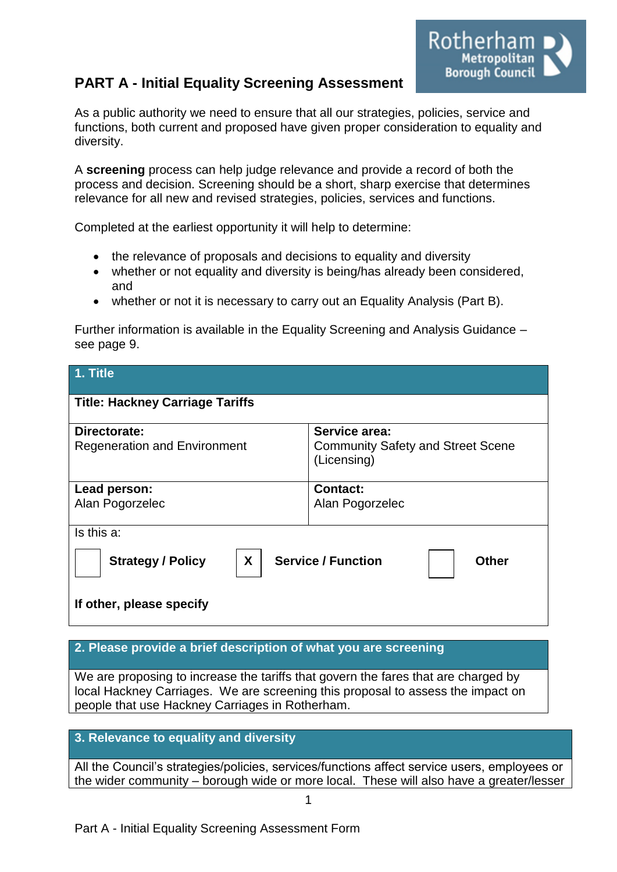# **PART A - Initial Equality Screening Assessment**

Rotherham **Metropolitan** Borough Council

As a public authority we need to ensure that all our strategies, policies, service and functions, both current and proposed have given proper consideration to equality and diversity.

A **screening** process can help judge relevance and provide a record of both the process and decision. Screening should be a short, sharp exercise that determines relevance for all new and revised strategies, policies, services and functions.

Completed at the earliest opportunity it will help to determine:

- the relevance of proposals and decisions to equality and diversity
- whether or not equality and diversity is being/has already been considered, and
- whether or not it is necessary to carry out an Equality Analysis (Part B).

Further information is available in the Equality Screening and Analysis Guidance – see page 9.

| 1. Title                                                                                               |                                                         |  |  |  |
|--------------------------------------------------------------------------------------------------------|---------------------------------------------------------|--|--|--|
| <b>Title: Hackney Carriage Tariffs</b>                                                                 |                                                         |  |  |  |
| Directorate:                                                                                           | Service area:                                           |  |  |  |
| <b>Regeneration and Environment</b>                                                                    | <b>Community Safety and Street Scene</b><br>(Licensing) |  |  |  |
| Lead person:                                                                                           | <b>Contact:</b>                                         |  |  |  |
| Alan Pogorzelec                                                                                        | Alan Pogorzelec                                         |  |  |  |
| Is this a:                                                                                             |                                                         |  |  |  |
| X<br><b>Service / Function</b><br><b>Strategy / Policy</b><br><b>Other</b><br>If other, please specify |                                                         |  |  |  |

### **2. Please provide a brief description of what you are screening**

We are proposing to increase the tariffs that govern the fares that are charged by local Hackney Carriages. We are screening this proposal to assess the impact on people that use Hackney Carriages in Rotherham.

#### **3. Relevance to equality and diversity**

All the Council's strategies/policies, services/functions affect service users, employees or the wider community – borough wide or more local. These will also have a greater/lesser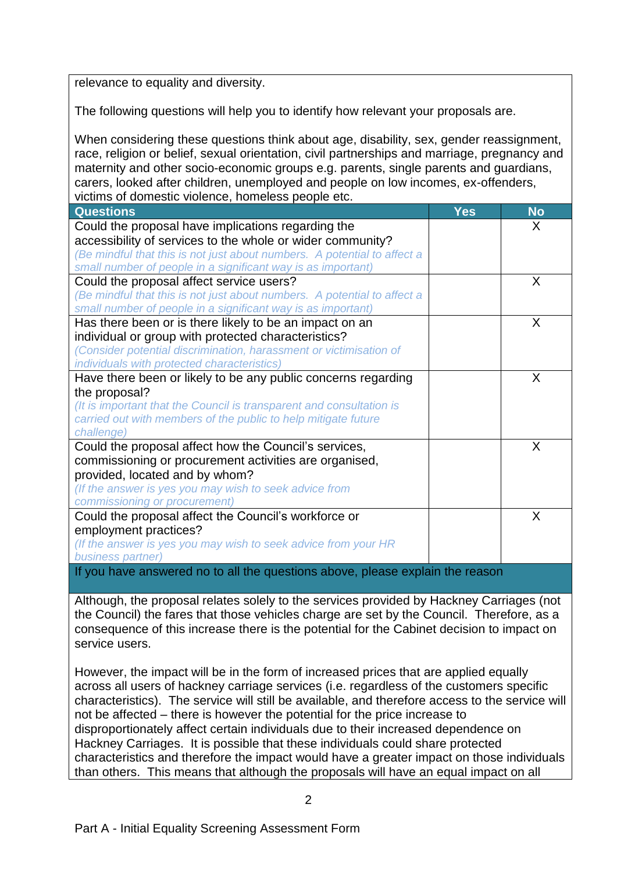relevance to equality and diversity.

The following questions will help you to identify how relevant your proposals are.

When considering these questions think about age, disability, sex, gender reassignment, race, religion or belief, sexual orientation, civil partnerships and marriage, pregnancy and maternity and other socio-economic groups e.g. parents, single parents and guardians, carers, looked after children, unemployed and people on low incomes, ex-offenders, victims of domestic violence, homeless people etc.

| <b>Questions</b>                                                            | <b>Yes</b> | <b>No</b> |
|-----------------------------------------------------------------------------|------------|-----------|
| Could the proposal have implications regarding the                          |            | X         |
| accessibility of services to the whole or wider community?                  |            |           |
| (Be mindful that this is not just about numbers. A potential to affect a    |            |           |
| small number of people in a significant way is as important)                |            |           |
| Could the proposal affect service users?                                    |            | X         |
| (Be mindful that this is not just about numbers. A potential to affect a    |            |           |
| small number of people in a significant way is as important)                |            |           |
| Has there been or is there likely to be an impact on an                     |            | X         |
| individual or group with protected characteristics?                         |            |           |
| (Consider potential discrimination, harassment or victimisation of          |            |           |
| individuals with protected characteristics)                                 |            |           |
| Have there been or likely to be any public concerns regarding               |            | X         |
| the proposal?                                                               |            |           |
| (It is important that the Council is transparent and consultation is        |            |           |
| carried out with members of the public to help mitigate future              |            |           |
| challenge)                                                                  |            |           |
| Could the proposal affect how the Council's services,                       |            | X         |
| commissioning or procurement activities are organised,                      |            |           |
| provided, located and by whom?                                              |            |           |
| (If the answer is yes you may wish to seek advice from                      |            |           |
| commissioning or procurement)                                               |            |           |
| Could the proposal affect the Council's workforce or                        |            | X         |
| employment practices?                                                       |            |           |
| (If the answer is yes you may wish to seek advice from your HR              |            |           |
| business partner)                                                           |            |           |
| If you have appured no to all the questions above please evalgin the reason |            |           |

all the questions above, please

Although, the proposal relates solely to the services provided by Hackney Carriages (not the Council) the fares that those vehicles charge are set by the Council. Therefore, as a consequence of this increase there is the potential for the Cabinet decision to impact on service users.

However, the impact will be in the form of increased prices that are applied equally across all users of hackney carriage services (i.e. regardless of the customers specific characteristics). The service will still be available, and therefore access to the service will not be affected – there is however the potential for the price increase to disproportionately affect certain individuals due to their increased dependence on Hackney Carriages. It is possible that these individuals could share protected characteristics and therefore the impact would have a greater impact on those individuals than others. This means that although the proposals will have an equal impact on all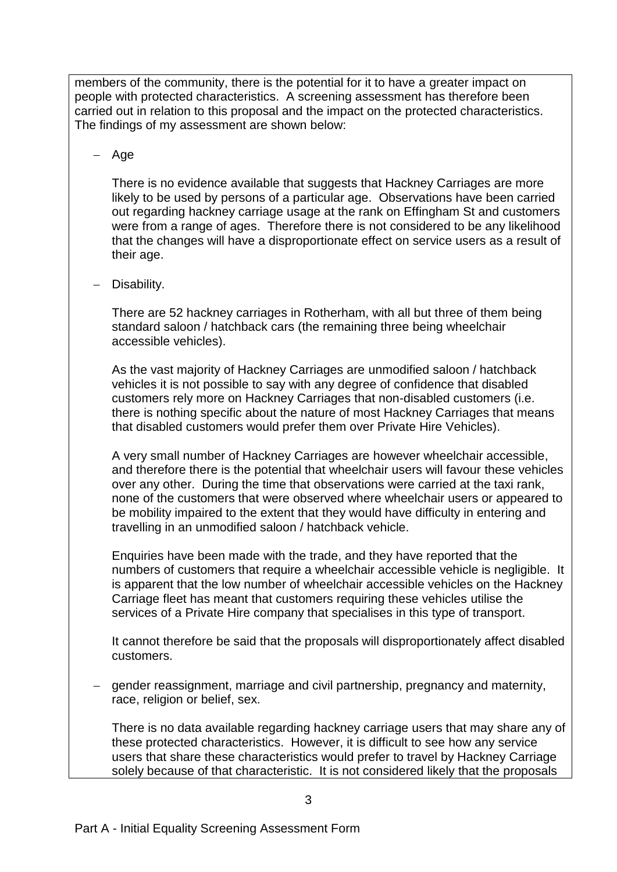members of the community, there is the potential for it to have a greater impact on people with protected characteristics. A screening assessment has therefore been carried out in relation to this proposal and the impact on the protected characteristics. The findings of my assessment are shown below:

# $-$  Age

There is no evidence available that suggests that Hackney Carriages are more likely to be used by persons of a particular age. Observations have been carried out regarding hackney carriage usage at the rank on Effingham St and customers were from a range of ages. Therefore there is not considered to be any likelihood that the changes will have a disproportionate effect on service users as a result of their age.

#### - Disability.

There are 52 hackney carriages in Rotherham, with all but three of them being standard saloon / hatchback cars (the remaining three being wheelchair accessible vehicles).

As the vast majority of Hackney Carriages are unmodified saloon / hatchback vehicles it is not possible to say with any degree of confidence that disabled customers rely more on Hackney Carriages that non-disabled customers (i.e. there is nothing specific about the nature of most Hackney Carriages that means that disabled customers would prefer them over Private Hire Vehicles).

A very small number of Hackney Carriages are however wheelchair accessible, and therefore there is the potential that wheelchair users will favour these vehicles over any other. During the time that observations were carried at the taxi rank, none of the customers that were observed where wheelchair users or appeared to be mobility impaired to the extent that they would have difficulty in entering and travelling in an unmodified saloon / hatchback vehicle.

Enquiries have been made with the trade, and they have reported that the numbers of customers that require a wheelchair accessible vehicle is negligible. It is apparent that the low number of wheelchair accessible vehicles on the Hackney Carriage fleet has meant that customers requiring these vehicles utilise the services of a Private Hire company that specialises in this type of transport.

It cannot therefore be said that the proposals will disproportionately affect disabled customers.

- gender reassignment, marriage and civil partnership, pregnancy and maternity, race, religion or belief, sex.

There is no data available regarding hackney carriage users that may share any of these protected characteristics. However, it is difficult to see how any service users that share these characteristics would prefer to travel by Hackney Carriage solely because of that characteristic. It is not considered likely that the proposals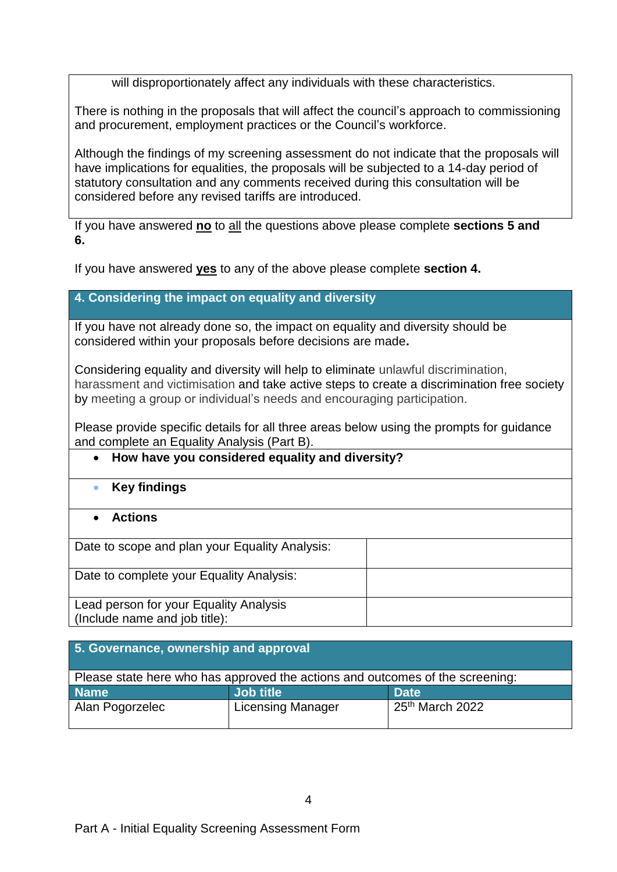will disproportionately affect any individuals with these characteristics.

There is nothing in the proposals that will affect the council's approach to commissioning and procurement, employment practices or the Council's workforce.

Although the findings of my screening assessment do not indicate that the proposals will have implications for equalities, the proposals will be subjected to a 14-day period of statutory consultation and any comments received during this consultation will be considered before any revised tariffs are introduced.

If you have answered **no** to all the questions above please complete **sections 5 and 6.**

If you have answered **yes** to any of the above please complete **section 4.** 

## **4. Considering the impact on equality and diversity**

If you have not already done so, the impact on equality and diversity should be considered within your proposals before decisions are made**.**

Considering equality and diversity will help to eliminate unlawful discrimination, harassment and victimisation and take active steps to create a discrimination free society by meeting a group or individual's needs and encouraging participation.

Please provide specific details for all three areas below using the prompts for guidance and complete an Equality Analysis (Part B).

#### **How have you considered equality and diversity?**

- **Key findings**
- **Actions**

Date to scope and plan your Equality Analysis:

Date to complete your Equality Analysis:

Lead person for your Equality Analysis (Include name and job title):

| 5. Governance, ownership and approval                                         |                          |                             |  |  |
|-------------------------------------------------------------------------------|--------------------------|-----------------------------|--|--|
| Please state here who has approved the actions and outcomes of the screening: |                          |                             |  |  |
| <b>Name</b>                                                                   | Job title                | <b>Date</b>                 |  |  |
| Alan Pogorzelec                                                               | <b>Licensing Manager</b> | 25 <sup>th</sup> March 2022 |  |  |